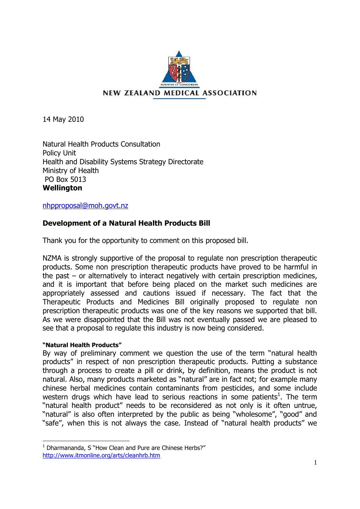

14 May 2010

Natural Health Products Consultation Policy Unit Health and Disability Systems Strategy Directorate Ministry of Health PO Box 5013 **Wellington** 

[nhpproposal@moh.govt.nz](mailto:nhpproposal@moh.govt.nz)

# **Development of a Natural Health Products Bill**

Thank you for the opportunity to comment on this proposed bill.

NZMA is strongly supportive of the proposal to regulate non prescription therapeutic products. Some non prescription therapeutic products have proved to be harmful in the past – or alternatively to interact negatively with certain prescription medicines, and it is important that before being placed on the market such medicines are appropriately assessed and cautions issued if necessary. The fact that the Therapeutic Products and Medicines Bill originally proposed to regulate non prescription therapeutic products was one of the key reasons we supported that bill. As we were disappointed that the Bill was not eventually passed we are pleased to see that a proposal to regulate this industry is now being considered.

# **"Natural Health Products"**

l

By way of preliminary comment we question the use of the term "natural health products" in respect of non prescription therapeutic products. Putting a substance through a process to create a pill or drink, by definition, means the product is not natural. Also, many products marketed as "natural" are in fact not; for example many chinese herbal medicines contain contaminants from pesticides, and some include western drugs which have lead to serious reactions in some patients<sup>1</sup>. The term "natural health product" needs to be reconsidered as not only is it often untrue, "natural" is also often interpreted by the public as being "wholesome", "good" and "safe", when this is not always the case. Instead of "natural health products" we

 $1$  Dharmananda, S "How Clean and Pure are Chinese Herbs?" <http://www.itmonline.org/arts/cleanhrb.htm>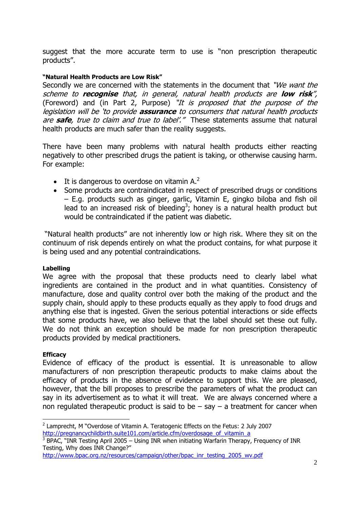suggest that the more accurate term to use is "non prescription therapeutic products".

# **"Natural Health Products are Low Risk"**

Secondly we are concerned with the statements in the document that "We want the scheme to **recognise** that, in general, natural health products are **low risk**", (Foreword) and (in Part 2, Purpose) "It is proposed that the purpose of the legislation will be "to provide **assurance** to consumers that natural health products are **safe**, true to claim and true to label'." These statements assume that natural health products are much safer than the reality suggests.

There have been many problems with natural health products either reacting negatively to other prescribed drugs the patient is taking, or otherwise causing harm. For example:

- $\bullet$  It is dangerous to overdose on vitamin A.<sup>2</sup>
- Some products are contraindicated in respect of prescribed drugs or conditions – E.g. products such as ginger, garlic, Vitamin E, gingko biloba and fish oil lead to an increased risk of bleeding<sup>3</sup>; honey is a natural health product but would be contraindicated if the patient was diabetic.

"Natural health products" are not inherently low or high risk. Where they sit on the continuum of risk depends entirely on what the product contains, for what purpose it is being used and any potential contraindications.

## **Labelling**

We agree with the proposal that these products need to clearly label what ingredients are contained in the product and in what quantities. Consistency of manufacture, dose and quality control over both the making of the product and the supply chain, should apply to these products equally as they apply to food drugs and anything else that is ingested. Given the serious potential interactions or side effects that some products have, we also believe that the label should set these out fully. We do not think an exception should be made for non prescription therapeutic products provided by medical practitioners.

## **Efficacy**

Evidence of efficacy of the product is essential. It is unreasonable to allow manufacturers of non prescription therapeutic products to make claims about the efficacy of products in the absence of evidence to support this. We are pleased, however, that the bill proposes to prescribe the parameters of what the product can say in its advertisement as to what it will treat. We are always concerned where a non regulated therapeutic product is said to be  $-$  say  $-$  a treatment for cancer when

l  $2$  Lamprecht, M "Overdose of Vitamin A. Teratogenic Effects on the Fetus: 2 July 2007 http://pregnancychildbirth.suite101.com/article.cfm/overdosage\_of\_vitamin\_a

 $3$  BPAC, "INR Testing April 2005 – Using INR when initiating Warfarin Therapy, Frequency of INR Testing, Why does INR Change?"

[http://www.bpac.org.nz/resources/campaign/other/bpac\\_inr\\_testing\\_2005\\_wv.pdf](http://www.bpac.org.nz/resources/campaign/other/bpac_inr_testing_2005_wv.pdf)